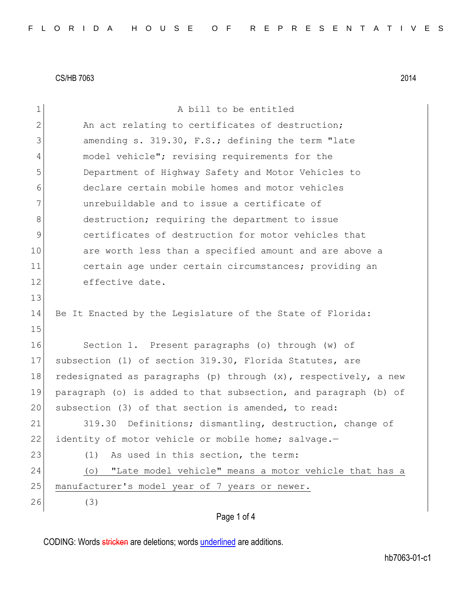| $\mathbf 1$   | A bill to be entitled                                              |
|---------------|--------------------------------------------------------------------|
| $\mathbf{2}$  | An act relating to certificates of destruction;                    |
| 3             | amending s. 319.30, F.S.; defining the term "late                  |
| 4             | model vehicle"; revising requirements for the                      |
| 5             | Department of Highway Safety and Motor Vehicles to                 |
| 6             | declare certain mobile homes and motor vehicles                    |
| 7             | unrebuildable and to issue a certificate of                        |
| 8             | destruction; requiring the department to issue                     |
| $\mathcal{G}$ | certificates of destruction for motor vehicles that                |
| 10            | are worth less than a specified amount and are above a             |
| 11            | certain age under certain circumstances; providing an              |
| 12            | effective date.                                                    |
| 13            |                                                                    |
| 14            | Be It Enacted by the Legislature of the State of Florida:          |
| 15            |                                                                    |
| 16            | Section 1. Present paragraphs (o) through (w) of                   |
| 17            | subsection (1) of section 319.30, Florida Statutes, are            |
| 18            | redesignated as paragraphs (p) through $(x)$ , respectively, a new |
| 19            | paragraph (o) is added to that subsection, and paragraph (b) of    |
| 20            | subsection (3) of that section is amended, to read:                |
| 21            | 319.30 Definitions; dismantling, destruction, change of            |
| 22            | identity of motor vehicle or mobile home; salvage.-                |
| 23            | (1)<br>As used in this section, the term:                          |
| 24            | "Late model vehicle" means a motor vehicle that has a<br>(0)       |
| 25            | manufacturer's model year of 7 years or newer.                     |
| 26            | (3)                                                                |
|               | Page 1 of 4                                                        |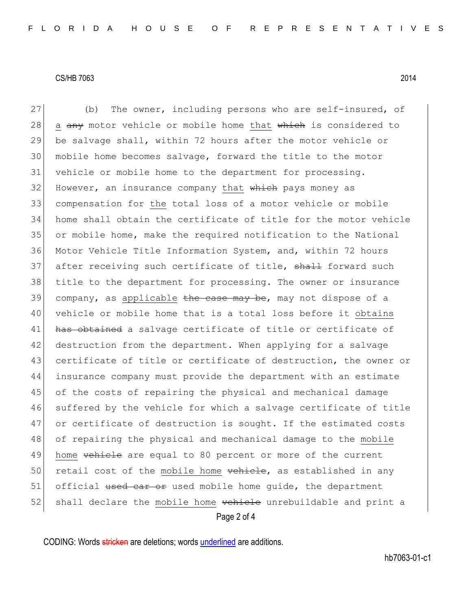Page 2 of 4 27 (b) The owner, including persons who are self-insured, of 28 a  $\frac{any}{x}$  motor vehicle or mobile home that which is considered to 29 be salvage shall, within 72 hours after the motor vehicle or 30 mobile home becomes salvage, forward the title to the motor 31 vehicle or mobile home to the department for processing.  $32$  However, an insurance company that which pays money as 33 compensation for the total loss of a motor vehicle or mobile 34 home shall obtain the certificate of title for the motor vehicle 35 or mobile home, make the required notification to the National 36 Motor Vehicle Title Information System, and, within 72 hours 37 after receiving such certificate of title, shall forward such 38 title to the department for processing. The owner or insurance 39 company, as applicable  $\frac{1}{2}$  the case may be, may not dispose of a 40 vehicle or mobile home that is a total loss before it obtains 41 has obtained a salvage certificate of title or certificate of 42 destruction from the department. When applying for a salvage 43 certificate of title or certificate of destruction, the owner or 44 insurance company must provide the department with an estimate 45 of the costs of repairing the physical and mechanical damage 46 suffered by the vehicle for which a salvage certificate of title 47 or certificate of destruction is sought. If the estimated costs 48 of repairing the physical and mechanical damage to the mobile 49 home vehicle are equal to 80 percent or more of the current 50 retail cost of the mobile home vehicle, as established in any 51 official used car or used mobile home guide, the department 52 shall declare the mobile home vehicle unrebuildable and print a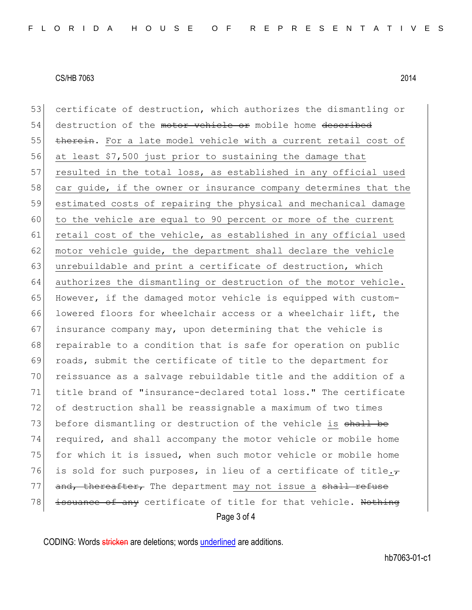Page 3 of 4 53 certificate of destruction, which authorizes the dismantling or 54 destruction of the motor vehicle or mobile home described 55 therein. For a late model vehicle with a current retail cost of 56 at least \$7,500 just prior to sustaining the damage that 57 resulted in the total loss, as established in any official used 58 car guide, if the owner or insurance company determines that the 59 estimated costs of repairing the physical and mechanical damage 60 to the vehicle are equal to 90 percent or more of the current 61 retail cost of the vehicle, as established in any official used 62 motor vehicle quide, the department shall declare the vehicle 63 unrebuildable and print a certificate of destruction, which 64 authorizes the dismantling or destruction of the motor vehicle. 65 However, if the damaged motor vehicle is equipped with custom-66 lowered floors for wheelchair access or a wheelchair lift, the  $67$  insurance company may, upon determining that the vehicle is 68 repairable to a condition that is safe for operation on public 69 roads, submit the certificate of title to the department for 70 reissuance as a salvage rebuildable title and the addition of a 71 title brand of "insurance-declared total loss." The certificate 72 of destruction shall be reassignable a maximum of two times 73 before dismantling or destruction of the vehicle is shall be 74 required, and shall accompany the motor vehicle or mobile home 75 for which it is issued, when such motor vehicle or mobile home 76 is sold for such purposes, in lieu of a certificate of title. $\tau$ 77 and, thereafter, The department may not issue a shall refuse 78 issuance of any certificate of title for that vehicle. Nothing